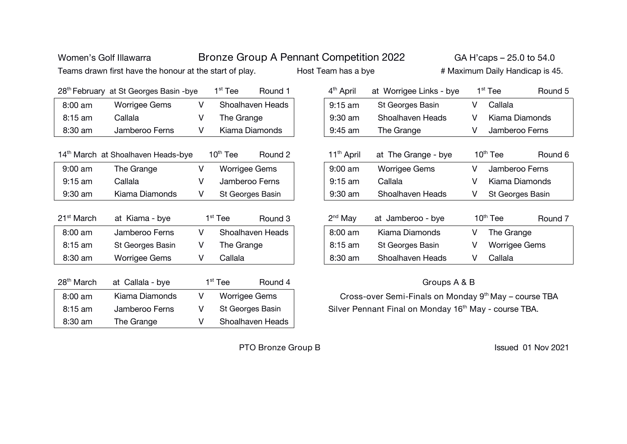| Women's Golf Illawarra |                                                         |              |                      |                      | Bronze Group A Pennant Competition 2022 |                                                                   |                                                       | GA H'caps – 25.0 to 54.0 |   |               |                                 |  |
|------------------------|---------------------------------------------------------|--------------|----------------------|----------------------|-----------------------------------------|-------------------------------------------------------------------|-------------------------------------------------------|--------------------------|---|---------------|---------------------------------|--|
|                        | Teams drawn first have the honour at the start of play. |              |                      |                      |                                         | Host Team has a bye                                               |                                                       |                          |   |               | # Maximum Daily Handicap is 45. |  |
|                        | 28 <sup>th</sup> February at St Georges Basin -bye      |              | $1st$ Tee            | Round 1              |                                         | 4 <sup>th</sup> April                                             | at Worrigee Links - bye                               |                          |   | $1st$ Tee     | Round 5                         |  |
| 8:00 am                | <b>Worrigee Gems</b>                                    | $\vee$       |                      | Shoalhaven Heads     |                                         | $9:15$ am                                                         | St Georges Basin                                      |                          | V | Callala       |                                 |  |
| 8:15 am                | Callala                                                 | V            | The Grange           |                      |                                         | 9:30 am                                                           | Shoalhaven Heads                                      |                          | V |               | Kiama Diamonds                  |  |
| 8:30 am                | Jamberoo Ferns                                          | V            | Kiama Diamonds       |                      |                                         | 9:45 am                                                           | The Grange                                            |                          | V |               | Jamberoo Ferns                  |  |
|                        | 14 <sup>th</sup> March at Shoalhaven Heads-bye          |              | $10^{\text{th}}$ Tee | Round 2              |                                         | 11 <sup>th</sup> April                                            | at The Grange - bye                                   |                          |   | $10th$ Tee    | Round 6                         |  |
| 9:00 am                | The Grange                                              | V            |                      | <b>Worrigee Gems</b> |                                         | 9:00 am                                                           | <b>Worrigee Gems</b>                                  |                          | V |               | Jamberoo Ferns                  |  |
| $9:15$ am              | Callala                                                 | V            | Jamberoo Ferns       |                      |                                         | $9:15$ am                                                         | Callala                                               |                          | V |               | Kiama Diamonds                  |  |
| 9:30 am                | Kiama Diamonds                                          | V            | St Georges Basin     |                      |                                         | 9:30 am                                                           | Shoalhaven Heads                                      |                          | V |               | St Georges Basin                |  |
| 21 <sup>st</sup> March | at Kiama - bye                                          |              | $1st$ Tee            | Round 3              |                                         | $2nd$ May                                                         | at Jamberoo - bye                                     |                          |   | $10th$ Tee    | Round 7                         |  |
| 8:00 am                | Jamberoo Ferns                                          | V            |                      | Shoalhaven Heads     |                                         | 8:00 am                                                           | Kiama Diamonds                                        |                          | V | The Grange    |                                 |  |
| 8:15 am                | St Georges Basin                                        | V            | The Grange           |                      |                                         | $8:15$ am                                                         | St Georges Basin                                      |                          | V | Worrigee Gems |                                 |  |
| 8:30 am                | Worrigee Gems                                           | V            | Callala              |                      |                                         | 8:30 am                                                           | Shoalhaven Heads                                      |                          | V | Callala       |                                 |  |
| 28 <sup>th</sup> March | at Callala - bye                                        |              | $1st$ Tee            | Round 4              |                                         |                                                                   |                                                       | Groups A & B             |   |               |                                 |  |
| 8:00 am                | Kiama Diamonds                                          | $\mathsf{V}$ |                      | <b>Worrigee Gems</b> |                                         |                                                                   | Cross-over Semi-Finals on Monday 9th May - course TBA |                          |   |               |                                 |  |
| 8:15 am                | Jamberoo Ferns                                          | V            |                      | St Georges Basin     |                                         | Silver Pennant Final on Monday 16 <sup>th</sup> May - course TBA. |                                                       |                          |   |               |                                 |  |
| 8:30 am                | The Grange                                              | V            |                      | Shoalhaven Heads     |                                         |                                                                   |                                                       |                          |   |               |                                 |  |

**PTO Bronze Group B** *Issued 01 Nov 2021*